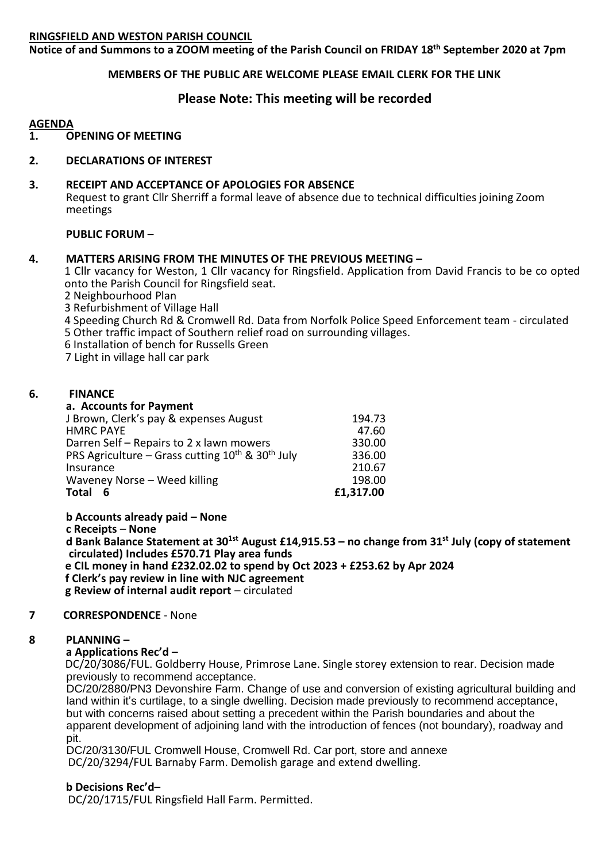## **RINGSFIELD AND WESTON PARISH COUNCIL**

**Notice of and Summons to a ZOOM meeting of the Parish Council on FRIDAY 18th September 2020 at 7pm**

## **MEMBERS OF THE PUBLIC ARE WELCOME PLEASE EMAIL CLERK FOR THE LINK**

# **Please Note: This meeting will be recorded**

# **AGENDA**

**1. OPENING OF MEETING**

## **2. DECLARATIONS OF INTEREST**

### **3. RECEIPT AND ACCEPTANCE OF APOLOGIES FOR ABSENCE**

Request to grant Cllr Sherriff a formal leave of absence due to technical difficulties joining Zoom meetings

#### **PUBLIC FORUM –**

## **4. MATTERS ARISING FROM THE MINUTES OF THE PREVIOUS MEETING –**

1 Cllr vacancy for Weston, 1 Cllr vacancy for Ringsfield. Application from David Francis to be co opted onto the Parish Council for Ringsfield seat.

2 Neighbourhood Plan

3 Refurbishment of Village Hall

4 Speeding Church Rd & Cromwell Rd. Data from Norfolk Police Speed Enforcement team - circulated

5 Other traffic impact of Southern relief road on surrounding villages.

6 Installation of bench for Russells Green

7 Light in village hall car park

#### **6. FINANCE**

| a. Accounts for Payment                                    |           |
|------------------------------------------------------------|-----------|
| J Brown, Clerk's pay & expenses August                     | 194.73    |
| <b>HMRC PAYE</b>                                           | 47.60     |
| Darren Self - Repairs to 2 x lawn mowers                   | 330.00    |
| PRS Agriculture – Grass cutting $10^{th}$ & $30^{th}$ July | 336.00    |
| Insurance                                                  | 210.67    |
| Waveney Norse - Weed killing                               | 198.00    |
| Total<br>6                                                 | £1,317.00 |

**b Accounts already paid – None c Receipts** – **None d Bank Balance Statement at 301st August £14,915.53 – no change from 31st July (copy of statement circulated) Includes £570.71 Play area funds e CIL money in hand £232.02.02 to spend by Oct 2023 + £253.62 by Apr 2024 f Clerk's pay review in line with NJC agreement g Review of internal audit report** – circulated

# **7 CORRESPONDENCE** - None

#### **8 PLANNING –**

#### **a Applications Rec'd –**

 DC/20/3086/FUL. Goldberry House, Primrose Lane. Single storey extension to rear. Decision made previously to recommend acceptance.

 DC/20/2880/PN3 Devonshire Farm. Change of use and conversion of existing agricultural building and land within it's curtilage, to a single dwelling. Decision made previously to recommend acceptance, but with concerns raised about setting a precedent within the Parish boundaries and about the apparent development of adjoining land with the introduction of fences (not boundary), roadway and pit.

 DC/20/3130/FUL Cromwell House, Cromwell Rd. Car port, store and annexe DC/20/3294/FUL Barnaby Farm. Demolish garage and extend dwelling.

# **b Decisions Rec'd–**

DC/20/1715/FUL Ringsfield Hall Farm. Permitted.